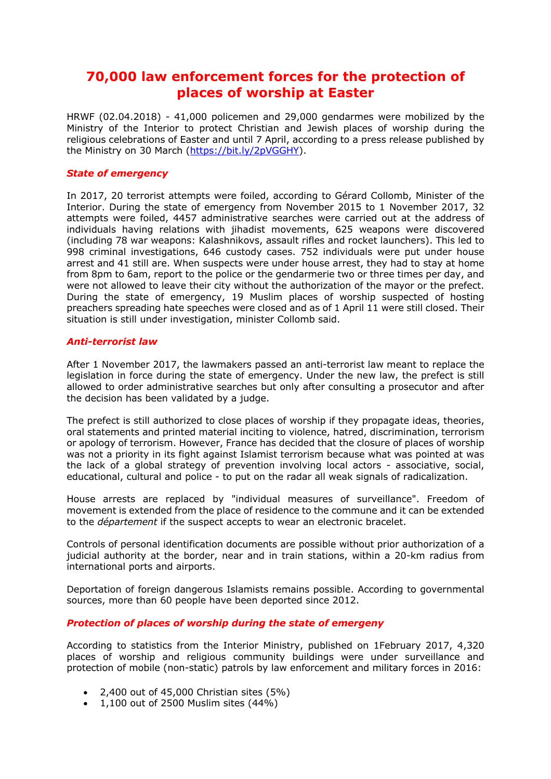# **70,000 law enforcement forces for the protection of places of worship at Easter**

HRWF (02.04.2018) - 41,000 policemen and 29,000 gendarmes were mobilized by the Ministry of the Interior to protect Christian and Jewish places of worship during the religious celebrations of Easter and until 7 April, according to a press release published by the Ministry on 30 March (https://bit.ly/2pVGGHY).

### *State of emergency*

In 2017, 20 terrorist attempts were foiled, according to Gérard Collomb, Minister of the Interior. During the state of emergency from November 2015 to 1 November 2017, 32 attempts were foiled, 4457 administrative searches were carried out at the address of individuals having relations with jihadist movements, 625 weapons were discovered (including 78 war weapons: Kalashnikovs, assault rifles and rocket launchers). This led to 998 criminal investigations, 646 custody cases. 752 individuals were put under house arrest and 41 still are. When suspects were under house arrest, they had to stay at home from 8pm to 6am, report to the police or the gendarmerie two or three times per day, and were not allowed to leave their city without the authorization of the mayor or the prefect. During the state of emergency, 19 Muslim places of worship suspected of hosting preachers spreading hate speeches were closed and as of 1 April 11 were still closed. Their situation is still under investigation, minister Collomb said.

### *Anti-terrorist law*

After 1 November 2017, the lawmakers passed an anti-terrorist law meant to replace the legislation in force during the state of emergency. Under the new law, the prefect is still allowed to order administrative searches but only after consulting a prosecutor and after the decision has been validated by a judge.

The prefect is still authorized to close places of worship if they propagate ideas, theories, oral statements and printed material inciting to violence, hatred, discrimination, terrorism or apology of terrorism. However, France has decided that the closure of places of worship was not a priority in its fight against Islamist terrorism because what was pointed at was the lack of a global strategy of prevention involving local actors - associative, social, educational, cultural and police - to put on the radar all weak signals of radicalization.

House arrests are replaced by "individual measures of surveillance". Freedom of movement is extended from the place of residence to the commune and it can be extended to the *département* if the suspect accepts to wear an electronic bracelet.

Controls of personal identification documents are possible without prior authorization of a judicial authority at the border, near and in train stations, within a 20-km radius from international ports and airports.

Deportation of foreign dangerous Islamists remains possible. According to governmental sources, more than 60 people have been deported since 2012.

## *Protection of places of worship during the state of emergeny*

According to statistics from the Interior Ministry, published on 1February 2017, 4,320 places of worship and religious community buildings were under surveillance and protection of mobile (non-static) patrols by law enforcement and military forces in 2016:

- $\bullet$  2,400 out of 45,000 Christian sites (5%)
- 1,100 out of 2500 Muslim sites (44%)